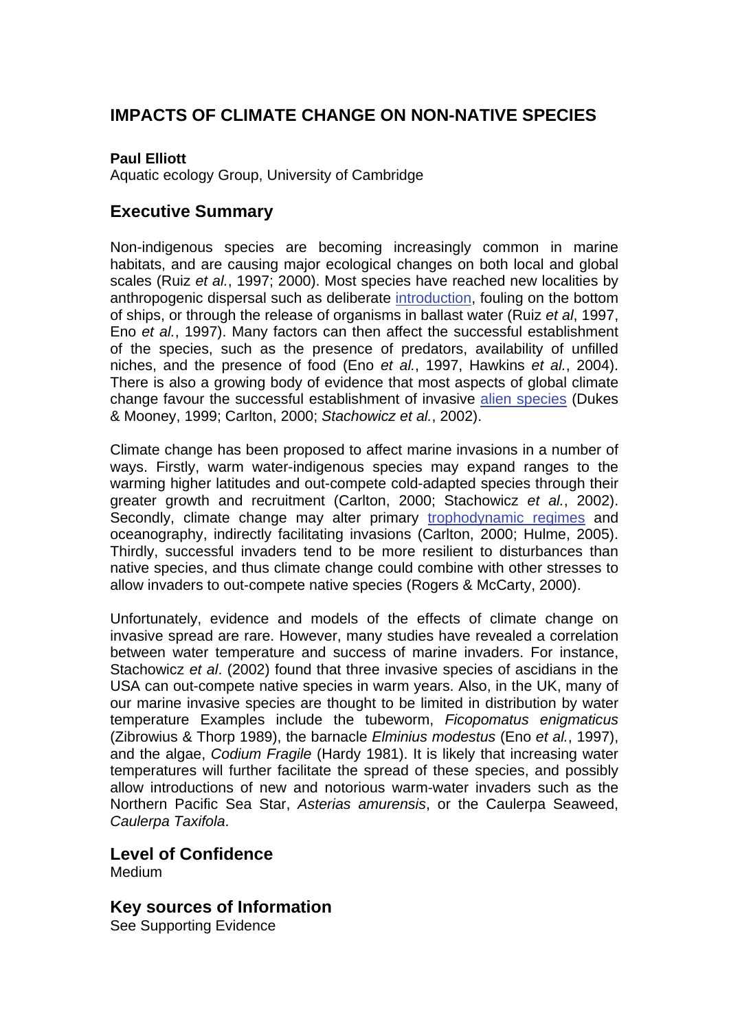## **IMPACTS OF CLIMATE CHANGE ON NON-NATIVE SPECIES**

#### **Paul Elliott**

Aquatic ecology Group, University of Cambridge

### **Executive Summary**

Non-indigenous species are becoming increasingly common in marine habitats, and are causing major ecological changes on both local and global scales (Ruiz *et al.*, 1997; 2000). Most species have reached new localities by anthropogenic dispersal such as deliberat[e introduction,](http://www.mccip.org.uk/arc/glossary.htm) fouling on the bottom of ships, or through the release of organisms in ballast water (Ruiz *et al*, 1997, Eno *et al.*, 1997). Many factors can then affect the successful establishment of the species, such as the presence of predators, availability of unfilled niches, and the presence of food (Eno *et al.*, 1997, Hawkins *et al.*, 2004). There is also a growing body of evidence that most aspects of global climate change favour the successful establishment of invasive [alien species](http://www.mccip.org.uk/arc/glossary.htm) (Dukes & Mooney, 1999; Carlton, 2000; *Stachowicz et al.*, 2002).

Climate change has been proposed to affect marine invasions in a number of ways. Firstly, warm water-indigenous species may expand ranges to the warming higher latitudes and out-compete cold-adapted species through their greater growth and recruitment (Carlton, 2000; Stachowicz *et al.*, 2002). Secondly, climate change may alter primary [trophodynamic regimes](http://www.mccip.org.uk/arc/glossary.htm) and oceanography, indirectly facilitating invasions (Carlton, 2000; Hulme, 2005). Thirdly, successful invaders tend to be more resilient to disturbances than native species, and thus climate change could combine with other stresses to allow invaders to out-compete native species (Rogers & McCarty, 2000).

Unfortunately, evidence and models of the effects of climate change on invasive spread are rare. However, many studies have revealed a correlation between water temperature and success of marine invaders. For instance, Stachowicz *et al*. (2002) found that three invasive species of ascidians in the USA can out-compete native species in warm years. Also, in the UK, many of our marine invasive species are thought to be limited in distribution by water temperature Examples include the tubeworm, *Ficopomatus enigmaticus* (Zibrowius & Thorp 1989), the barnacle *Elminius modestus* (Eno *et al.*, 1997), and the algae, *Codium Fragile* (Hardy 1981). It is likely that increasing water temperatures will further facilitate the spread of these species, and possibly allow introductions of new and notorious warm-water invaders such as the Northern Pacific Sea Star, *Asterias amurensis*, or the Caulerpa Seaweed, *Caulerpa Taxifola*.

#### **Level of Confidence Medium**

### **Key sources of Information**

See Supporting Evidence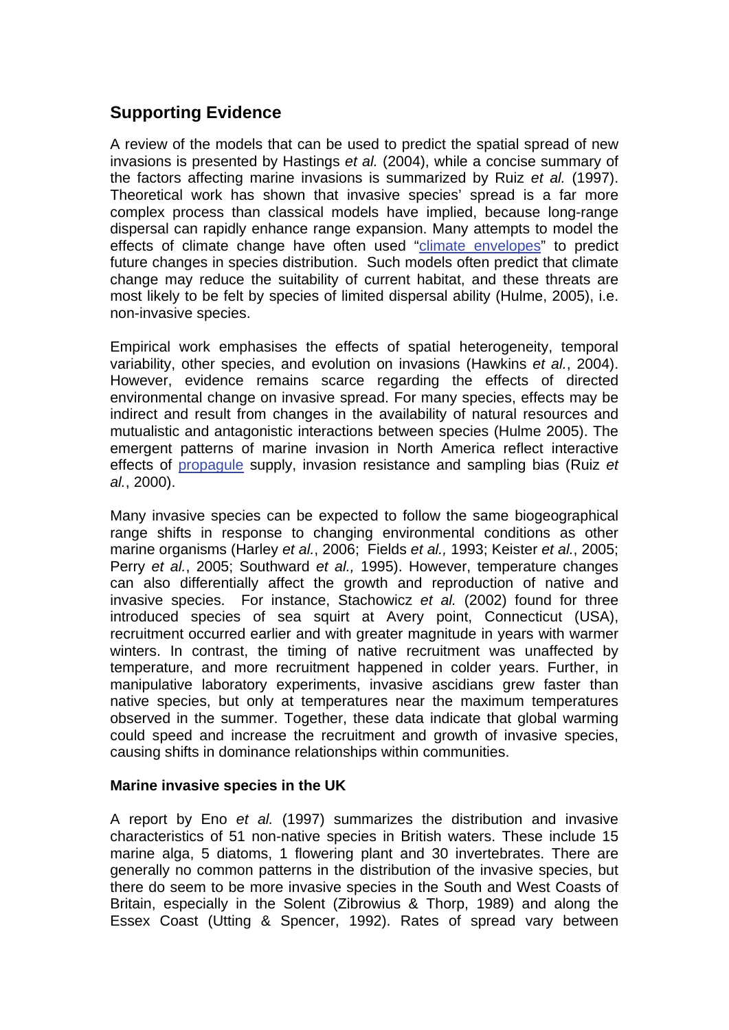# **Supporting Evidence**

A review of the models that can be used to predict the spatial spread of new invasions is presented by Hastings *et al.* (2004), while a concise summary of the factors affecting marine invasions is summarized by Ruiz *et al.* (1997). Theoretical work has shown that invasive species' spread is a far more complex process than classical models have implied, because long-range dispersal can rapidly enhance range expansion. Many attempts to model the effects of climate change have often used ["climate envelopes"](http://www.mccip.org.uk/arc/glossary.htm) to predict future changes in species distribution. Such models often predict that climate change may reduce the suitability of current habitat, and these threats are most likely to be felt by species of limited dispersal ability (Hulme, 2005), i.e. non-invasive species.

Empirical work emphasises the effects of spatial heterogeneity, temporal variability, other species, and evolution on invasions (Hawkins *et al.*, 2004). However, evidence remains scarce regarding the effects of directed environmental change on invasive spread. For many species, effects may be indirect and result from changes in the availability of natural resources and mutualistic and antagonistic interactions between species (Hulme 2005). The emergent patterns of marine invasion in North America reflect interactive effects of [propagule](http://www.mccip.org.uk/arc/glossary.htm) supply, invasion resistance and sampling bias (Ruiz *et al.*, 2000).

Many invasive species can be expected to follow the same biogeographical range shifts in response to changing environmental conditions as other marine organisms (Harley *et al.*, 2006; Fields *et al.,* 1993; Keister *et al.*, 2005; Perry *et al.*, 2005; Southward *et al.,* 1995). However, temperature changes can also differentially affect the growth and reproduction of native and invasive species. For instance, Stachowicz *et al.* (2002) found for three introduced species of sea squirt at Avery point, Connecticut (USA), recruitment occurred earlier and with greater magnitude in years with warmer winters. In contrast, the timing of native recruitment was unaffected by temperature, and more recruitment happened in colder years. Further, in manipulative laboratory experiments, invasive ascidians grew faster than native species, but only at temperatures near the maximum temperatures observed in the summer. Together, these data indicate that global warming could speed and increase the recruitment and growth of invasive species, causing shifts in dominance relationships within communities.

#### **Marine invasive species in the UK**

A report by Eno *et al.* (1997) summarizes the distribution and invasive characteristics of 51 non-native species in British waters. These include 15 marine alga, 5 diatoms, 1 flowering plant and 30 invertebrates. There are generally no common patterns in the distribution of the invasive species, but there do seem to be more invasive species in the South and West Coasts of Britain, especially in the Solent (Zibrowius & Thorp, 1989) and along the Essex Coast (Utting & Spencer, 1992). Rates of spread vary between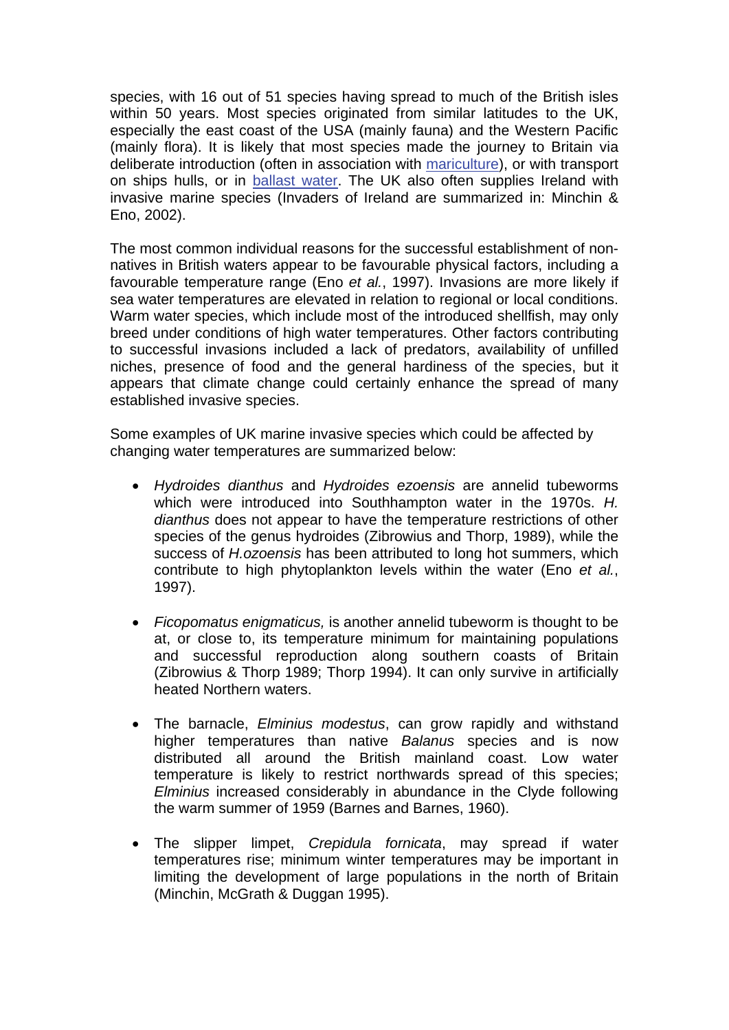species, with 16 out of 51 species having spread to much of the British isles within 50 years. Most species originated from similar latitudes to the UK, especially the east coast of the USA (mainly fauna) and the Western Pacific (mainly flora). It is likely that most species made the journey to Britain via deliberate introduction (often in association with [mariculture\)](http://www.mccip.org.uk/arc/glossary.htm), or with transport on ships hulls, or in [ballast water.](http://www.mccip.org.uk/arc/glossary.htm) The UK also often supplies Ireland with invasive marine species (Invaders of Ireland are summarized in: Minchin & Eno, 2002).

The most common individual reasons for the successful establishment of nonnatives in British waters appear to be favourable physical factors, including a favourable temperature range (Eno *et al.*, 1997). Invasions are more likely if sea water temperatures are elevated in relation to regional or local conditions. Warm water species, which include most of the introduced shellfish, may only breed under conditions of high water temperatures. Other factors contributing to successful invasions included a lack of predators, availability of unfilled niches, presence of food and the general hardiness of the species, but it appears that climate change could certainly enhance the spread of many established invasive species.

Some examples of UK marine invasive species which could be affected by changing water temperatures are summarized below:

- *Hydroides dianthus* and *Hydroides ezoensis* are annelid tubeworms which were introduced into Southhampton water in the 1970s. *H. dianthus* does not appear to have the temperature restrictions of other species of the genus hydroides (Zibrowius and Thorp, 1989), while the success of *H.ozoensis* has been attributed to long hot summers, which contribute to high phytoplankton levels within the water (Eno *et al.*, 1997).
- *Ficopomatus enigmaticus,* is another annelid tubeworm is thought to be at, or close to, its temperature minimum for maintaining populations and successful reproduction along southern coasts of Britain (Zibrowius & Thorp 1989; Thorp 1994). It can only survive in artificially heated Northern waters.
- The barnacle, *Elminius modestus*, can grow rapidly and withstand higher temperatures than native *Balanus* species and is now distributed all around the British mainland coast. Low water temperature is likely to restrict northwards spread of this species; *Elminius* increased considerably in abundance in the Clyde following the warm summer of 1959 (Barnes and Barnes, 1960).
- The slipper limpet, *Crepidula fornicata*, may spread if water temperatures rise; minimum winter temperatures may be important in limiting the development of large populations in the north of Britain (Minchin, McGrath & Duggan 1995).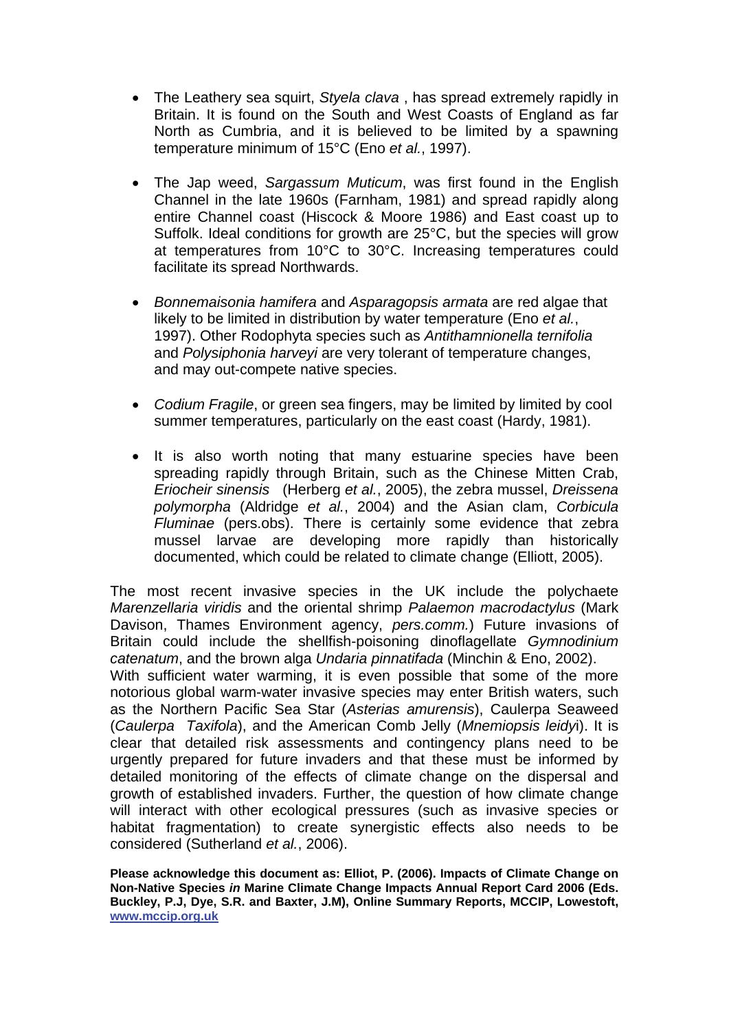- The Leathery sea squirt, *Styela clava* , has spread extremely rapidly in Britain. It is found on the South and West Coasts of England as far North as Cumbria, and it is believed to be limited by a spawning temperature minimum of 15°C (Eno *et al.*, 1997).
- The Jap weed, *Sargassum Muticum*, was first found in the English Channel in the late 1960s (Farnham, 1981) and spread rapidly along entire Channel coast (Hiscock & Moore 1986) and East coast up to Suffolk. Ideal conditions for growth are 25°C, but the species will grow at temperatures from 10°C to 30°C. Increasing temperatures could facilitate its spread Northwards.
- *Bonnemaisonia hamifera* and *Asparagopsis armata* are red algae that likely to be limited in distribution by water temperature (Eno *et al.*, 1997). Other Rodophyta species such as *Antithamnionella ternifolia* and *Polysiphonia harveyi* are very tolerant of temperature changes, and may out-compete native species.
- *Codium Fragile*, or green sea fingers, may be limited by limited by cool summer temperatures, particularly on the east coast (Hardy, 1981).
- It is also worth noting that many estuarine species have been spreading rapidly through Britain, such as the Chinese Mitten Crab, *Eriocheir sinensis* (Herberg *et al.*, 2005), the zebra mussel, *Dreissena polymorpha* (Aldridge *et al.*, 2004) and the Asian clam, *Corbicula Fluminae* (pers.obs). There is certainly some evidence that zebra mussel larvae are developing more rapidly than historically documented, which could be related to climate change (Elliott, 2005).

The most recent invasive species in the UK include the polychaete *Marenzellaria viridis* and the oriental shrimp *Palaemon macrodactylus* (Mark Davison, Thames Environment agency, *pers.comm.*) Future invasions of Britain could include the shellfish-poisoning dinoflagellate *Gymnodinium catenatum*, and the brown alga *Undaria pinnatifada* (Minchin & Eno, 2002).

With sufficient water warming, it is even possible that some of the more notorious global warm-water invasive species may enter British waters, such as the Northern Pacific Sea Star (*Asterias amurensis*), Caulerpa Seaweed (*Caulerpa Taxifola*), and the American Comb Jelly (*Mnemiopsis leidy*i). It is clear that detailed risk assessments and contingency plans need to be urgently prepared for future invaders and that these must be informed by detailed monitoring of the effects of climate change on the dispersal and growth of established invaders. Further, the question of how climate change will interact with other ecological pressures (such as invasive species or habitat fragmentation) to create synergistic effects also needs to be considered (Sutherland *et al.*, 2006).

**Please acknowledge this document as: Elliot, P. (2006). Impacts of Climate Change on Non-Native Species** *in* **Marine Climate Change Impacts Annual Report Card 2006 (Eds. Buckley, P.J, Dye, S.R. and Baxter, J.M), Online Summary Reports, MCCIP, Lowestoft, [www.mccip.org.uk](http://www.mccip.org.uk/)**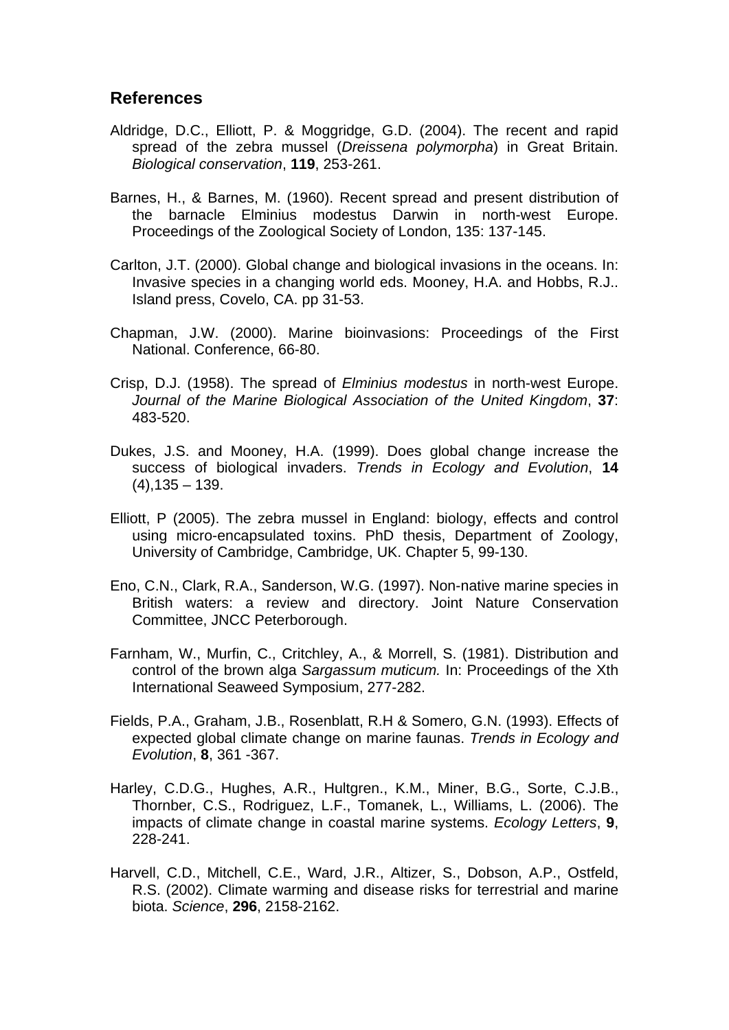### **References**

- Aldridge, D.C., Elliott, P. & Moggridge, G.D. (2004). The recent and rapid spread of the zebra mussel (*Dreissena polymorpha*) in Great Britain. *Biological conservation*, **119**, 253-261.
- Barnes, H., & Barnes, M. (1960). Recent spread and present distribution of the barnacle Elminius modestus Darwin in north-west Europe. Proceedings of the Zoological Society of London, 135: 137-145.
- Carlton, J.T. (2000). Global change and biological invasions in the oceans. In: Invasive species in a changing world eds. Mooney, H.A. and Hobbs, R.J.. Island press, Covelo, CA. pp 31-53.
- Chapman, J.W. (2000). Marine bioinvasions: Proceedings of the First National. Conference, 66-80.
- Crisp, D.J. (1958). The spread of *Elminius modestus* in north-west Europe. *Journal of the Marine Biological Association of the United Kingdom*, **37**: 483-520.
- Dukes, J.S. and Mooney, H.A. (1999). Does global change increase the success of biological invaders. *Trends in Ecology and Evolution*, **14**  $(4)$ , 135 – 139.
- Elliott, P (2005). The zebra mussel in England: biology, effects and control using micro-encapsulated toxins. PhD thesis, Department of Zoology, University of Cambridge, Cambridge, UK. Chapter 5, 99-130.
- Eno, C.N., Clark, R.A., Sanderson, W.G. (1997). Non-native marine species in British waters: a review and directory. Joint Nature Conservation Committee, JNCC Peterborough.
- Farnham, W., Murfin, C., Critchley, A., & Morrell, S. (1981). Distribution and control of the brown alga *Sargassum muticum.* In: Proceedings of the Xth International Seaweed Symposium, 277-282.
- Fields, P.A., Graham, J.B., Rosenblatt, R.H & Somero, G.N. (1993). Effects of expected global climate change on marine faunas. *Trends in Ecology and Evolution*, **8**, 361 -367.
- Harley, C.D.G., Hughes, A.R., Hultgren., K.M., Miner, B.G., Sorte, C.J.B., Thornber, C.S., Rodriguez, L.F., Tomanek, L., Williams, L. (2006). The impacts of climate change in coastal marine systems. *Ecology Letters*, **9**, 228-241.
- Harvell, C.D., Mitchell, C.E., Ward, J.R., Altizer, S., Dobson, A.P., Ostfeld, R.S. (2002). Climate warming and disease risks for terrestrial and marine biota. *Science*, **296**, 2158-2162.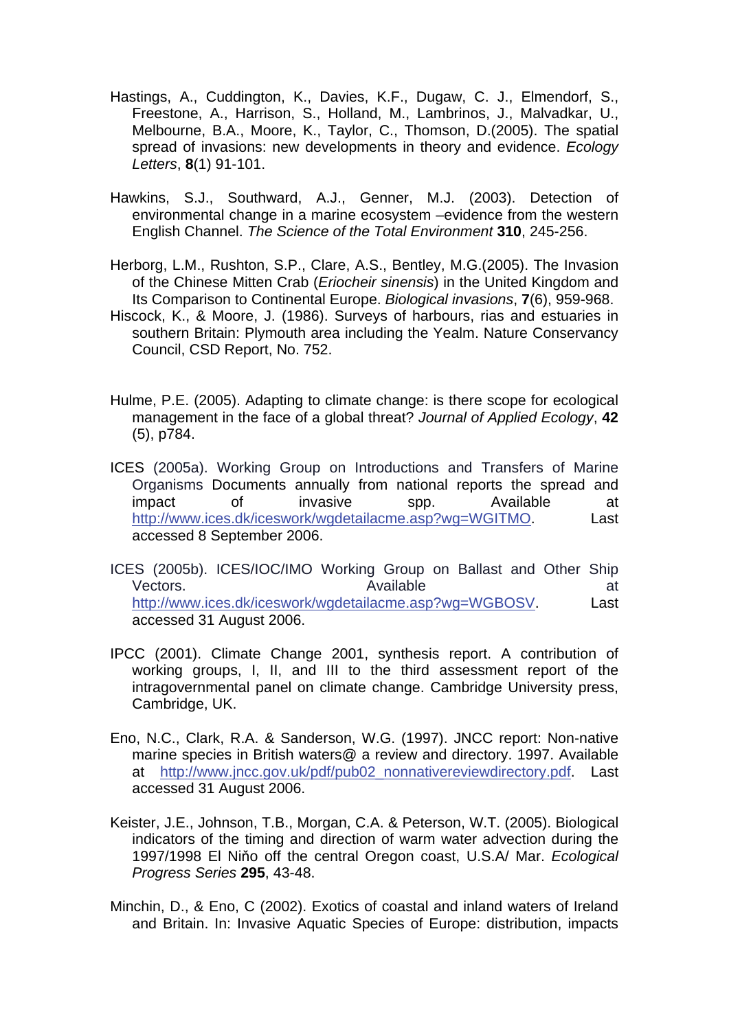- Hastings, A., Cuddington, K., Davies, K.F., Dugaw, C. J., Elmendorf, S., Freestone, A., Harrison, S., Holland, M., Lambrinos, J., Malvadkar, U., Melbourne, B.A., Moore, K., Taylor, C., Thomson, D.(2005). The spatial spread of invasions: new developments in theory and evidence. *Ecology Letters*, **8**(1) 91-101.
- Hawkins, S.J., Southward, A.J., Genner, M.J. (2003). Detection of environmental change in a marine ecosystem –evidence from the western English Channel. *The Science of the Total Environment* **310**, 245-256.
- Herborg, L.M., Rushton, S.P., Clare, A.S., Bentley, M.G.(2005). The Invasion of the Chinese Mitten Crab (*Eriocheir sinensis*) in the United Kingdom and Its Comparison to Continental Europe. *Biological invasions*, **7**(6), 959-968.
- Hiscock, K., & Moore, J. (1986). Surveys of harbours, rias and estuaries in southern Britain: Plymouth area including the Yealm. Nature Conservancy Council, CSD Report, No. 752.
- Hulme, P.E. (2005). Adapting to climate change: is there scope for ecological management in the face of a global threat? *Journal of Applied Ecology*, **42**  (5), p784.
- ICES (2005a). Working Group on Introductions and Transfers of Marine Organisms Documents annually from national reports the spread and impact of invasive spp. Available at [http://www.ices.dk/iceswork/wgdetailacme.asp?wg=WGITMO.](http://www.ices.dk/iceswork/wgdetailacme.asp?wg=WGITMO) Last accessed 8 September 2006.
- ICES (2005b). ICES/IOC/IMO Working Group on Ballast and Other Ship Vectors. **Available at the set of the set of the set of the set of the set of the set of the set of the set of the set of the set of the set of the set of the set of the set of the set of the set of the set of the set of** <http://www.ices.dk/iceswork/wgdetailacme.asp?wg=WGBOSV>. Last accessed 31 August 2006.
- IPCC (2001). Climate Change 2001, synthesis report. A contribution of working groups, I, II, and III to the third assessment report of the intragovernmental panel on climate change. Cambridge University press, Cambridge, UK.
- Eno, N.C., Clark, R.A. & Sanderson, W.G. (1997). JNCC report: Non-native marine species in British waters@ a review and directory. 1997. Available at [http://www.jncc.gov.uk/pdf/pub02\\_nonnativereviewdirectory.pdf](http://www.jncc.gov.uk/pdf/pub02_nonnativereviewdirectory.pdf). Last accessed 31 August 2006.
- Keister, J.E., Johnson, T.B., Morgan, C.A. & Peterson, W.T. (2005). Biological indicators of the timing and direction of warm water advection during the 1997/1998 El Niňo off the central Oregon coast, U.S.A/ Mar. *Ecological Progress Series* **295**, 43-48.
- Minchin, D., & Eno, C (2002). Exotics of coastal and inland waters of Ireland and Britain. In: Invasive Aquatic Species of Europe: distribution, impacts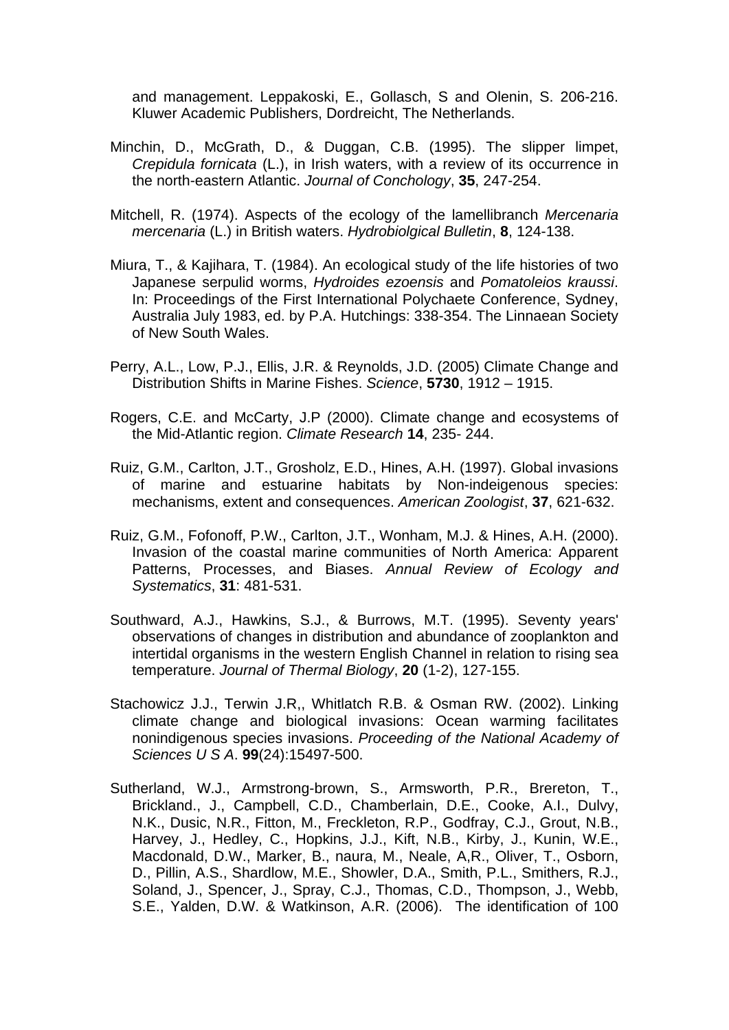and management. Leppakoski, E., Gollasch, S and Olenin, S. 206-216. Kluwer Academic Publishers, Dordreicht, The Netherlands.

- Minchin, D., McGrath, D., & Duggan, C.B. (1995). The slipper limpet, *Crepidula fornicata* (L.), in Irish waters, with a review of its occurrence in the north-eastern Atlantic. *Journal of Conchology*, **35**, 247-254.
- Mitchell, R. (1974). Aspects of the ecology of the lamellibranch *Mercenaria mercenaria* (L.) in British waters. *Hydrobiolgical Bulletin*, **8**, 124-138.
- Miura, T., & Kajihara, T. (1984). An ecological study of the life histories of two Japanese serpulid worms, *Hydroides ezoensis* and *Pomatoleios kraussi*. In: Proceedings of the First International Polychaete Conference, Sydney, Australia July 1983, ed. by P.A. Hutchings: 338-354. The Linnaean Society of New South Wales.
- Perry, A.L., Low, P.J., Ellis, J.R. & Reynolds, J.D. (2005) Climate Change and Distribution Shifts in Marine Fishes. *Science*, **5730**, 1912 – 1915.
- Rogers, C.E. and McCarty, J.P (2000). Climate change and ecosystems of the Mid-Atlantic region. *Climate Research* **14**, 235- 244.
- Ruiz, G.M., Carlton, J.T., Grosholz, E.D., Hines, A.H. (1997). Global invasions of marine and estuarine habitats by Non-indeigenous species: mechanisms, extent and consequences. *American Zoologist*, **37**, 621-632.
- Ruiz, G.M., Fofonoff, P.W., Carlton, J.T., Wonham, M.J. & Hines, A.H. (2000). Invasion of the coastal marine communities of North America: Apparent Patterns, Processes, and Biases. *Annual Review of Ecology and Systematics*, **31**: 481-531.
- Southward, A.J., Hawkins, S.J., & Burrows, M.T. (1995). Seventy years' observations of changes in distribution and abundance of zooplankton and intertidal organisms in the western English Channel in relation to rising sea temperature. *Journal of Thermal Biology*, **20** (1-2), 127-155.
- Stachowicz J.J., Terwin J.R,, Whitlatch R.B. & Osman RW. (2002). Linking climate change and biological invasions: Ocean warming facilitates nonindigenous species invasions. *Proceeding of the National Academy of Sciences U S A*. **99**(24):15497-500.
- Sutherland, W.J., Armstrong-brown, S., Armsworth, P.R., Brereton, T., Brickland., J., Campbell, C.D., Chamberlain, D.E., Cooke, A.I., Dulvy, N.K., Dusic, N.R., Fitton, M., Freckleton, R.P., Godfray, C.J., Grout, N.B., Harvey, J., Hedley, C., Hopkins, J.J., Kift, N.B., Kirby, J., Kunin, W.E., Macdonald, D.W., Marker, B., naura, M., Neale, A,R., Oliver, T., Osborn, D., Pillin, A.S., Shardlow, M.E., Showler, D.A., Smith, P.L., Smithers, R.J., Soland, J., Spencer, J., Spray, C.J., Thomas, C.D., Thompson, J., Webb, S.E., Yalden, D.W. & Watkinson, A.R. (2006). The identification of 100